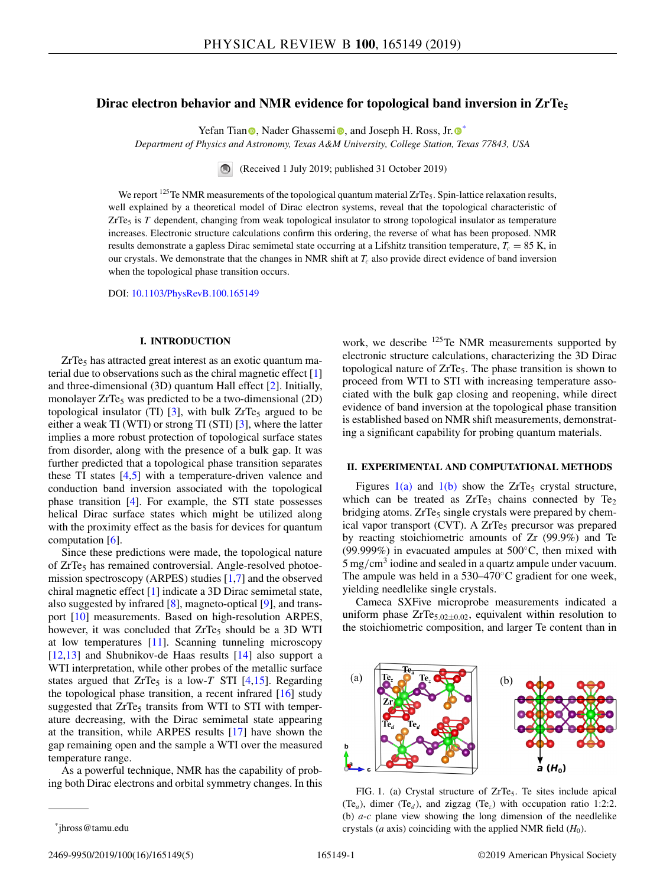# <span id="page-0-0"></span>**Dirac electron behavior and NMR evidence for topological band inversion in ZrTe5**

Yefan Tian  $\bullet$ [,](https://orcid.org/0000-0003-0755-7832) Nader Ghassemi $\bullet$ , and Joseph H[.](https://orcid.org/0000-0002-0800-9216) Ross, Jr.  $\bullet^*$ 

*Department of Physics and Astronomy, Texas A&M University, College Station, Texas 77843, USA*

(Received 1 July 2019; published 31 October 2019)

We report  $125$ Te NMR measurements of the topological quantum material ZrTe<sub>5</sub>. Spin-lattice relaxation results, well explained by a theoretical model of Dirac electron systems, reveal that the topological characteristic of ZrTe<sub>5</sub> is *T* dependent, changing from weak topological insulator to strong topological insulator as temperature increases. Electronic structure calculations confirm this ordering, the reverse of what has been proposed. NMR results demonstrate a gapless Dirac semimetal state occurring at a Lifshitz transition temperature,  $T_c = 85$  K, in our crystals. We demonstrate that the changes in NMR shift at *Tc* also provide direct evidence of band inversion when the topological phase transition occurs.

DOI: [10.1103/PhysRevB.100.165149](https://doi.org/10.1103/PhysRevB.100.165149)

#### **I. INTRODUCTION**

 $ZrTe<sub>5</sub>$  has attracted great interest as an exotic quantum material due to observations such as the chiral magnetic effect [\[1\]](#page-4-0) and three-dimensional (3D) quantum Hall effect [\[2\]](#page-4-0). Initially, monolayer  $ZrTe<sub>5</sub>$  was predicted to be a two-dimensional (2D) topological insulator (TI)  $[3]$ , with bulk ZrTe<sub>5</sub> argued to be either a weak TI (WTI) or strong TI (STI) [\[3\]](#page-4-0), where the latter implies a more robust protection of topological surface states from disorder, along with the presence of a bulk gap. It was further predicted that a topological phase transition separates these TI states [\[4,5\]](#page-4-0) with a temperature-driven valence and conduction band inversion associated with the topological phase transition [\[4\]](#page-4-0). For example, the STI state possesses helical Dirac surface states which might be utilized along with the proximity effect as the basis for devices for quantum computation [\[6\]](#page-4-0).

Since these predictions were made, the topological nature of ZrTe<sub>5</sub> has remained controversial. Angle-resolved photoemission spectroscopy (ARPES) studies [\[1,7\]](#page-4-0) and the observed chiral magnetic effect [\[1\]](#page-4-0) indicate a 3D Dirac semimetal state, also suggested by infrared [\[8\]](#page-4-0), magneto-optical [\[9\]](#page-4-0), and transport [\[10\]](#page-4-0) measurements. Based on high-resolution ARPES, however, it was concluded that  $ZrTe<sub>5</sub>$  should be a 3D WTI at low temperatures [\[11\]](#page-4-0). Scanning tunneling microscopy [\[12,13\]](#page-4-0) and Shubnikov-de Haas results [\[14\]](#page-4-0) also support a WTI interpretation, while other probes of the metallic surface states argued that  $ZrTe<sub>5</sub>$  is a low-*T* STI [\[4,15\]](#page-4-0). Regarding the topological phase transition, a recent infrared  $[16]$  study suggested that  $ZrTe<sub>5</sub>$  transits from WTI to STI with temperature decreasing, with the Dirac semimetal state appearing at the transition, while ARPES results [\[17\]](#page-4-0) have shown the gap remaining open and the sample a WTI over the measured temperature range.

As a powerful technique, NMR has the capability of probing both Dirac electrons and orbital symmetry changes. In this

work, we describe <sup>125</sup>Te NMR measurements supported by electronic structure calculations, characterizing the 3D Dirac topological nature of  $ZrTe<sub>5</sub>$ . The phase transition is shown to proceed from WTI to STI with increasing temperature associated with the bulk gap closing and reopening, while direct evidence of band inversion at the topological phase transition is established based on NMR shift measurements, demonstrating a significant capability for probing quantum materials.

## **II. EXPERIMENTAL AND COMPUTATIONAL METHODS**

Figures  $1(a)$  and  $1(b)$  show the ZrTe<sub>5</sub> crystal structure, which can be treated as  $ZrTe_3$  chains connected by  $Te_2$ bridging atoms.  $ZrTe<sub>5</sub>$  single crystals were prepared by chemical vapor transport (CVT). A  $ZrTe<sub>5</sub>$  precursor was prepared by reacting stoichiometric amounts of Zr (99.9%) and Te (99.999%) in evacuated ampules at 500◦C, then mixed with  $5 \,\mathrm{mg/cm^3}$  iodine and sealed in a quartz ampule under vacuum. The ampule was held in a 530–470◦C gradient for one week, yielding needlelike single crystals.

Cameca SXFive microprobe measurements indicated a uniform phase  $ZrTe<sub>5.02\pm0.02</sub>$ , equivalent within resolution to the stoichiometric composition, and larger Te content than in



FIG. 1. (a) Crystal structure of ZrTe<sub>5</sub>. Te sites include apical  $(Te_a)$ , dimer  $(Te_d)$ , and zigzag  $(Te_{\overline{z}})$  with occupation ratio 1:2:2. (b) *a*-*c* plane view showing the long dimension of the needlelike crystals (*a* axis) coinciding with the applied NMR field  $(H_0)$ .

<sup>\*</sup>jhross@tamu.edu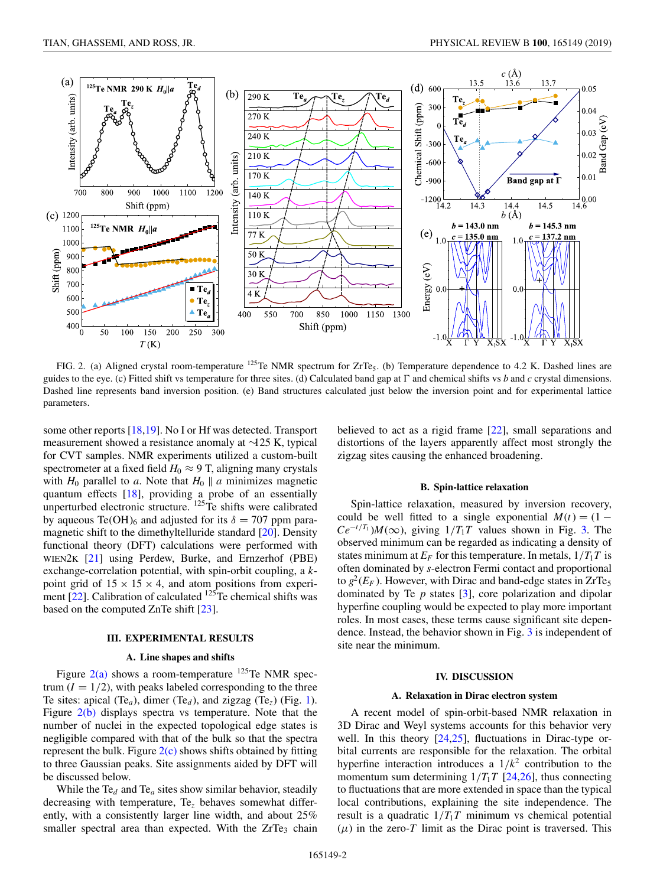<span id="page-1-0"></span>

FIG. 2. (a) Aligned crystal room-temperature  $^{125}$ Te NMR spectrum for ZrTe<sub>5</sub>. (b) Temperature dependence to 4.2 K. Dashed lines are guides to the eye. (c) Fitted shift vs temperature for three sites. (d) Calculated band gap at  $\Gamma$  and chemical shifts vs *b* and *c* crystal dimensions. Dashed line represents band inversion position. (e) Band structures calculated just below the inversion point and for experimental lattice parameters.

some other reports [\[18,19\]](#page-4-0). No I or Hf was detected. Transport measurement showed a resistance anomaly at ∼125 K, typical for CVT samples. NMR experiments utilized a custom-built spectrometer at a fixed field  $H_0 \approx 9$  T, aligning many crystals with  $H_0$  parallel to *a*. Note that  $H_0 \parallel a$  minimizes magnetic quantum effects [\[18\]](#page-4-0), providing a probe of an essentially unperturbed electronic structure.  $^{125}$ Te shifts were calibrated by aqueous Te(OH)<sub>6</sub> and adjusted for its  $\delta = 707$  ppm paramagnetic shift to the dimethyltelluride standard [\[20\]](#page-4-0). Density functional theory (DFT) calculations were performed with WIEN2K [\[21\]](#page-4-0) using Perdew, Burke, and Ernzerhof (PBE) exchange-correlation potential, with spin-orbit coupling, a *k*point grid of  $15 \times 15 \times 4$ , and atom positions from experiment  $[22]$ . Calibration of calculated  $125$ Te chemical shifts was based on the computed ZnTe shift [\[23\]](#page-4-0).

## **III. EXPERIMENTAL RESULTS**

## **A. Line shapes and shifts**

Figure  $2(a)$  shows a room-temperature <sup>125</sup>Te NMR spectrum  $(I = 1/2)$ , with peaks labeled corresponding to the three Te sites: apical (Te<sub>*a*</sub>), dimer (Te<sub>*d*</sub>), and zigzag (Te<sub>*z*</sub>) (Fig. [1\)](#page-0-0). Figure 2(b) displays spectra vs temperature. Note that the number of nuclei in the expected topological edge states is negligible compared with that of the bulk so that the spectra represent the bulk. Figure 2(c) shows shifts obtained by fitting to three Gaussian peaks. Site assignments aided by DFT will be discussed below.

While the Te*<sup>d</sup>* and Te*<sup>a</sup>* sites show similar behavior, steadily decreasing with temperature, Te*<sup>z</sup>* behaves somewhat differently, with a consistently larger line width, and about 25% smaller spectral area than expected. With the  $ZrTe<sub>3</sub>$  chain believed to act as a rigid frame [\[22\]](#page-4-0), small separations and distortions of the layers apparently affect most strongly the zigzag sites causing the enhanced broadening.

## **B. Spin-lattice relaxation**

Spin-lattice relaxation, measured by inversion recovery, could be well fitted to a single exponential  $M(t) = (1 Ce^{-t/T_1}$ )*M*(∞), giving  $1/T_1T$  values shown in Fig. [3.](#page-2-0) The observed minimum can be regarded as indicating a density of states minimum at  $E_F$  for this temperature. In metals,  $1/T_1T$  is often dominated by *s*-electron Fermi contact and proportional to  $g^2(E_F)$ . However, with Dirac and band-edge states in ZrTe<sub>5</sub> dominated by Te *p* states [\[3\]](#page-4-0), core polarization and dipolar hyperfine coupling would be expected to play more important roles. In most cases, these terms cause significant site dependence. Instead, the behavior shown in Fig. [3](#page-2-0) is independent of site near the minimum.

### **IV. DISCUSSION**

#### **A. Relaxation in Dirac electron system**

A recent model of spin-orbit-based NMR relaxation in 3D Dirac and Weyl systems accounts for this behavior very well. In this theory  $[24,25]$ , fluctuations in Dirac-type orbital currents are responsible for the relaxation. The orbital hyperfine interaction introduces a  $1/k^2$  contribution to the momentum sum determining  $1/T_1T$  [\[24,26\]](#page-4-0), thus connecting to fluctuations that are more extended in space than the typical local contributions, explaining the site independence. The result is a quadratic  $1/T_1T$  minimum vs chemical potential  $(\mu)$  in the zero-*T* limit as the Dirac point is traversed. This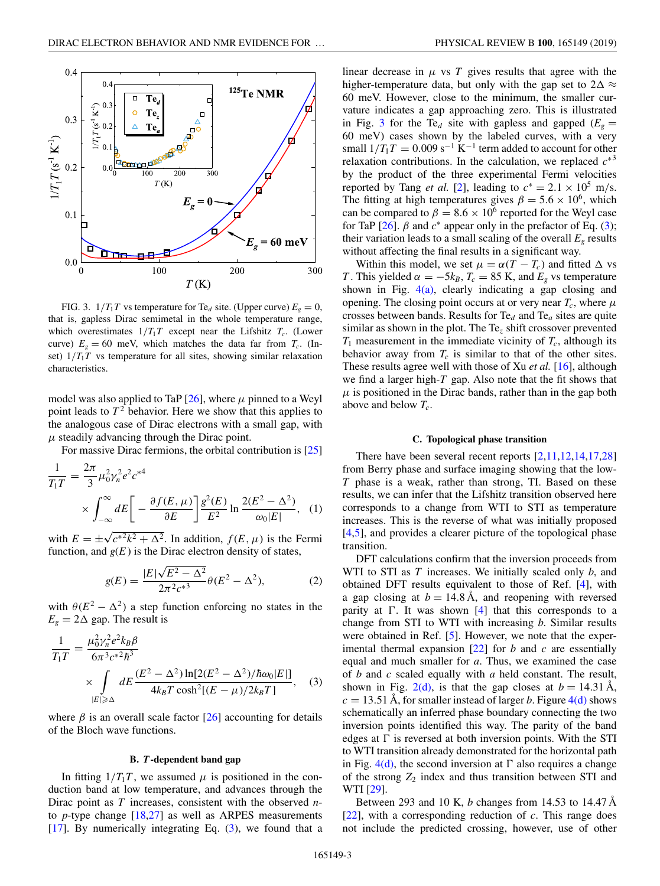<span id="page-2-0"></span>

FIG. 3.  $1/T_1T$  vs temperature for Te<sub>d</sub> site. (Upper curve)  $E_g = 0$ , that is, gapless Dirac semimetal in the whole temperature range, which overestimates  $1/T_1T$  except near the Lifshitz  $T_c$ . (Lower curve)  $E_g = 60$  meV, which matches the data far from  $T_c$ . (Inset)  $1/T_1T$  vs temperature for all sites, showing similar relaxation characteristics.

model was also applied to TaP  $[26]$ , where  $\mu$  pinned to a Weyl point leads to  $T^2$  behavior. Here we show that this applies to the analogous case of Dirac electrons with a small gap, with  $\mu$  steadily advancing through the Dirac point.

For massive Dirac fermions, the orbital contribution is [\[25\]](#page-4-0)

$$
\frac{1}{T_1T} = \frac{2\pi}{3}\mu_0^2 \gamma_n^2 e^2 c^{*4}
$$

$$
\times \int_{-\infty}^{\infty} dE \left[ -\frac{\partial f(E,\mu)}{\partial E} \right] \frac{g^2(E)}{E^2} \ln \frac{2(E^2 - \Delta^2)}{\omega_0 |E|}, \quad (1)
$$

with  $E = \pm \sqrt{c^{*2}k^2 + \Delta^2}$ . In addition,  $f(E, \mu)$  is the Fermi function, and  $g(E)$  is the Dirac electron density of states,

$$
g(E) = \frac{|E|\sqrt{E^2 - \Delta^2}}{2\pi^2 c^{*3}} \theta(E^2 - \Delta^2),
$$
 (2)

with  $\theta(E^2 - \Delta^2)$  a step function enforcing no states in the  $E<sub>g</sub> = 2\Delta$  gap. The result is

$$
\frac{1}{T_1 T} = \frac{\mu_0^2 \gamma_n^2 e^2 k_B \beta}{6\pi^3 c^{*2} \hbar^3} \times \int_{|E| \ge \Delta} dE \frac{(E^2 - \Delta^2) \ln[2(E^2 - \Delta^2)/\hbar \omega_0 |E|]}{4k_B T \cosh^2[(E - \mu)/2k_B T]}, \quad (3)
$$

where  $\beta$  is an overall scale factor  $\lceil 26 \rceil$  accounting for details of the Bloch wave functions.

### **B.** *T***-dependent band gap**

In fitting  $1/T_1T$ , we assumed  $\mu$  is positioned in the conduction band at low temperature, and advances through the Dirac point as *T* increases, consistent with the observed *n*to *p*-type change [\[18,27\]](#page-4-0) as well as ARPES measurements  $[17]$ . By numerically integrating Eq.  $(3)$ , we found that a

linear decrease in  $\mu$  vs  $T$  gives results that agree with the higher-temperature data, but only with the gap set to  $2\Delta \approx$ 60 meV. However, close to the minimum, the smaller curvature indicates a gap approaching zero. This is illustrated in Fig. 3 for the Te<sub>d</sub> site with gapless and gapped ( $E_g$  = 60 meV) cases shown by the labeled curves, with a very small  $1/T_1T = 0.009$  s<sup>-1</sup> K<sup>-1</sup> term added to account for other relaxation contributions. In the calculation, we replaced  $c^{*3}$ by the product of the three experimental Fermi velocities reported by Tang *et al.* [\[2\]](#page-4-0), leading to  $c^* = 2.1 \times 10^5$  m/s. The fitting at high temperatures gives  $\beta = 5.6 \times 10^6$ , which can be compared to  $\beta = 8.6 \times 10^6$  reported for the Weyl case for TaP  $[26]$ .  $\beta$  and  $c^*$  appear only in the prefactor of Eq. (3); their variation leads to a small scaling of the overall  $E<sub>g</sub>$  results without affecting the final results in a significant way.

Within this model, we set  $\mu = \alpha(T - T_c)$  and fitted  $\Delta$  vs *T*. This yielded  $\alpha = -5k_B$ ,  $T_c = 85$  K, and  $E_g$  vs temperature shown in Fig.  $4(a)$ , clearly indicating a gap closing and opening. The closing point occurs at or very near  $T_c$ , where  $\mu$ crosses between bands. Results for Te*<sup>d</sup>* and Te*<sup>a</sup>* sites are quite similar as shown in the plot. The Te*<sup>z</sup>* shift crossover prevented  $T_1$  measurement in the immediate vicinity of  $T_c$ , although its behavior away from  $T_c$  is similar to that of the other sites. These results agree well with those of Xu *et al.* [\[16\]](#page-4-0), although we find a larger high-*T* gap. Also note that the fit shows that  $\mu$  is positioned in the Dirac bands, rather than in the gap both above and below *Tc*.

#### **C. Topological phase transition**

There have been several recent reports  $[2,11,12,14,17,28]$ from Berry phase and surface imaging showing that the low-*T* phase is a weak, rather than strong, TI. Based on these results, we can infer that the Lifshitz transition observed here corresponds to a change from WTI to STI as temperature increases. This is the reverse of what was initially proposed [\[4,5\]](#page-4-0), and provides a clearer picture of the topological phase transition.

DFT calculations confirm that the inversion proceeds from WTI to STI as *T* increases. We initially scaled only *b*, and obtained DFT results equivalent to those of Ref. [\[4\]](#page-4-0), with a gap closing at  $b = 14.8 \text{ Å}$ , and reopening with reversed parity at  $\Gamma$ . It was shown  $[4]$  that this corresponds to a change from STI to WTI with increasing *b*. Similar results were obtained in Ref. [\[5\]](#page-4-0). However, we note that the experimental thermal expansion [\[22\]](#page-4-0) for *b* and *c* are essentially equal and much smaller for *a*. Thus, we examined the case of *b* and *c* scaled equally with *a* held constant. The result, shown in Fig. [2\(d\),](#page-1-0) is that the gap closes at  $b = 14.31 \text{ Å}$ ,  $c = 13.51 \text{ Å}$ , for smaller instead of larger *b*. Figure  $4(d)$  shows schematically an inferred phase boundary connecting the two inversion points identified this way. The parity of the band edges at  $\Gamma$  is reversed at both inversion points. With the STI to WTI transition already demonstrated for the horizontal path in Fig.  $4(d)$ , the second inversion at  $\Gamma$  also requires a change of the strong  $Z_2$  index and thus transition between STI and WTI [\[29\]](#page-4-0).

Between 293 and 10 K, *b* changes from 14.53 to 14.47 Å [\[22\]](#page-4-0), with a corresponding reduction of *c*. This range does not include the predicted crossing, however, use of other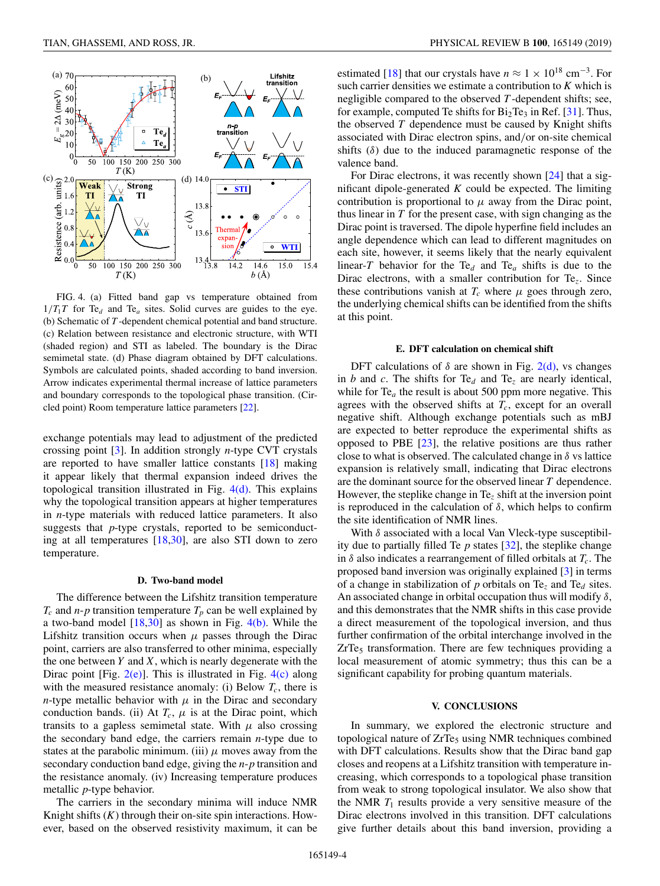<span id="page-3-0"></span>

FIG. 4. (a) Fitted band gap vs temperature obtained from  $1/T_1T$  for Te<sub>d</sub> and Te<sub>a</sub> sites. Solid curves are guides to the eye. (b) Schematic of *T* -dependent chemical potential and band structure. (c) Relation between resistance and electronic structure, with WTI (shaded region) and STI as labeled. The boundary is the Dirac semimetal state. (d) Phase diagram obtained by DFT calculations. Symbols are calculated points, shaded according to band inversion. Arrow indicates experimental thermal increase of lattice parameters and boundary corresponds to the topological phase transition. (Circled point) Room temperature lattice parameters [\[22\]](#page-4-0).

exchange potentials may lead to adjustment of the predicted crossing point [\[3\]](#page-4-0). In addition strongly *n*-type CVT crystals are reported to have smaller lattice constants [\[18\]](#page-4-0) making it appear likely that thermal expansion indeed drives the topological transition illustrated in Fig.  $4(d)$ . This explains why the topological transition appears at higher temperatures in *n*-type materials with reduced lattice parameters. It also suggests that *p*-type crystals, reported to be semiconducting at all temperatures [\[18,30\]](#page-4-0), are also STI down to zero temperature.

#### **D. Two-band model**

The difference between the Lifshitz transition temperature  $T_c$  and *n*-*p* transition temperature  $T_p$  can be well explained by a two-band model  $[18,30]$  as shown in Fig.  $4(b)$ . While the Lifshitz transition occurs when  $\mu$  passes through the Dirac point, carriers are also transferred to other minima, especially the one between  $Y$  and  $X$ , which is nearly degenerate with the Dirac point [Fig.  $2(e)$ ]. This is illustrated in Fig.  $4(e)$  along with the measured resistance anomaly: (i) Below  $T_c$ , there is *n*-type metallic behavior with  $\mu$  in the Dirac and secondary conduction bands. (ii) At  $T_c$ ,  $\mu$  is at the Dirac point, which transits to a gapless semimetal state. With  $\mu$  also crossing the secondary band edge, the carriers remain *n*-type due to states at the parabolic minimum. (iii)  $\mu$  moves away from the secondary conduction band edge, giving the *n*-*p* transition and the resistance anomaly. (iv) Increasing temperature produces metallic *p*-type behavior.

The carriers in the secondary minima will induce NMR Knight shifts (*K*) through their on-site spin interactions. However, based on the observed resistivity maximum, it can be estimated [\[18\]](#page-4-0) that our crystals have  $n \approx 1 \times 10^{18}$  cm<sup>-3</sup>. For such carrier densities we estimate a contribution to *K* which is negligible compared to the observed *T* -dependent shifts; see, for example, computed Te shifts for  $Bi<sub>2</sub>Te<sub>3</sub>$  in Ref. [\[31\]](#page-4-0). Thus, the observed *T* dependence must be caused by Knight shifts associated with Dirac electron spins, and/or on-site chemical shifts  $(\delta)$  due to the induced paramagnetic response of the valence band.

For Dirac electrons, it was recently shown [\[24\]](#page-4-0) that a significant dipole-generated *K* could be expected. The limiting contribution is proportional to  $\mu$  away from the Dirac point, thus linear in *T* for the present case, with sign changing as the Dirac point is traversed. The dipole hyperfine field includes an angle dependence which can lead to different magnitudes on each site, however, it seems likely that the nearly equivalent linear-*T* behavior for the Te<sub>d</sub> and Te<sub>a</sub> shifts is due to the Dirac electrons, with a smaller contribution for Te*z*. Since these contributions vanish at  $T_c$  where  $\mu$  goes through zero, the underlying chemical shifts can be identified from the shifts at this point.

## **E. DFT calculation on chemical shift**

DFT calculations of  $\delta$  are shown in Fig. [2\(d\),](#page-1-0) vs changes in *b* and *c*. The shifts for Te<sub>d</sub> and Te<sub>z</sub> are nearly identical, while for  $Te_a$  the result is about 500 ppm more negative. This agrees with the observed shifts at  $T_c$ , except for an overall negative shift. Although exchange potentials such as mBJ are expected to better reproduce the experimental shifts as opposed to PBE [\[23\]](#page-4-0), the relative positions are thus rather close to what is observed. The calculated change in  $\delta$  vs lattice expansion is relatively small, indicating that Dirac electrons are the dominant source for the observed linear *T* dependence. However, the steplike change in Te*<sup>z</sup>* shift at the inversion point is reproduced in the calculation of  $\delta$ , which helps to confirm the site identification of NMR lines.

With  $\delta$  associated with a local Van Vleck-type susceptibility due to partially filled Te  $p$  states  $[32]$ , the steplike change in  $\delta$  also indicates a rearrangement of filled orbitals at  $T_c$ . The proposed band inversion was originally explained [\[3\]](#page-4-0) in terms of a change in stabilization of *p* orbitals on Te*<sup>z</sup>* and Te*<sup>d</sup>* sites. An associated change in orbital occupation thus will modify  $\delta$ , and this demonstrates that the NMR shifts in this case provide a direct measurement of the topological inversion, and thus further confirmation of the orbital interchange involved in the  $ZrTe<sub>5</sub>$  transformation. There are few techniques providing a local measurement of atomic symmetry; thus this can be a significant capability for probing quantum materials.

### **V. CONCLUSIONS**

In summary, we explored the electronic structure and topological nature of ZrTe<sub>5</sub> using NMR techniques combined with DFT calculations. Results show that the Dirac band gap closes and reopens at a Lifshitz transition with temperature increasing, which corresponds to a topological phase transition from weak to strong topological insulator. We also show that the NMR  $T_1$  results provide a very sensitive measure of the Dirac electrons involved in this transition. DFT calculations give further details about this band inversion, providing a